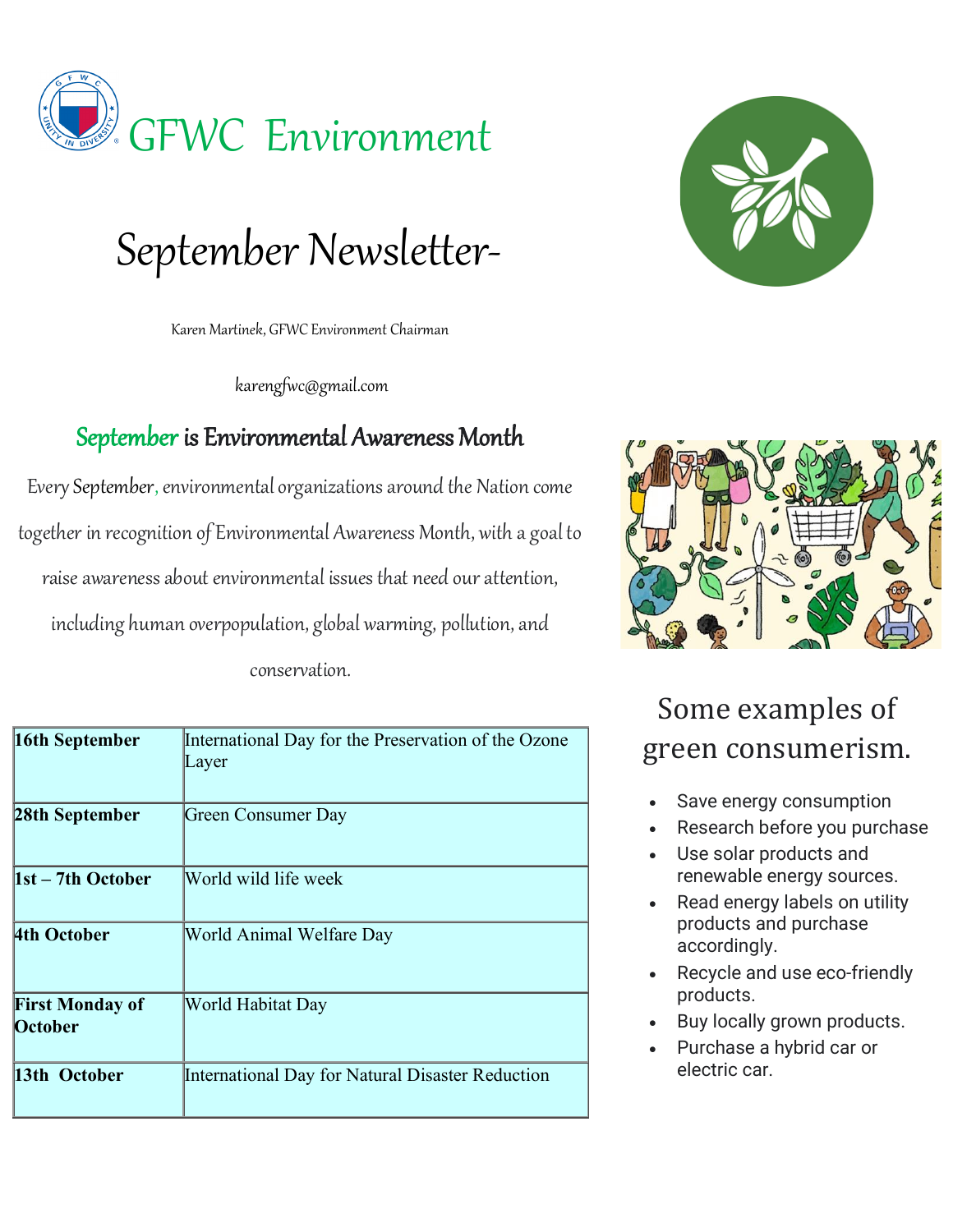

# September Newsletter-

Karen Martinek, GFWC Environment Chairman

karengfwc@gmail.com

#### September is Environmental Awareness Month

EverySeptember, environmental organizations around the Nation come together in recognition of Environmental Awareness Month, with a goal to raise awareness about environmental issues that need our attention, including human overpopulation, global warming, pollution, and conservation.

| 16th September                    | International Day for the Preservation of the Ozone<br>Layer |
|-----------------------------------|--------------------------------------------------------------|
| 28th September                    | Green Consumer Day                                           |
| $1st - 7th$ October               | World wild life week                                         |
| 4th October                       | World Animal Welfare Day                                     |
| <b>First Monday of</b><br>October | World Habitat Day                                            |
| 13th October                      | International Day for Natural Disaster Reduction             |





### Some examples of green consumerism.

- Save energy consumption
- Research before you purchase
- Use solar products and renewable energy sources.
- Read energy labels on utility products and purchase accordingly.
- Recycle and use eco-friendly products.
- Buy locally grown products.
- Purchase a hybrid car or electric car.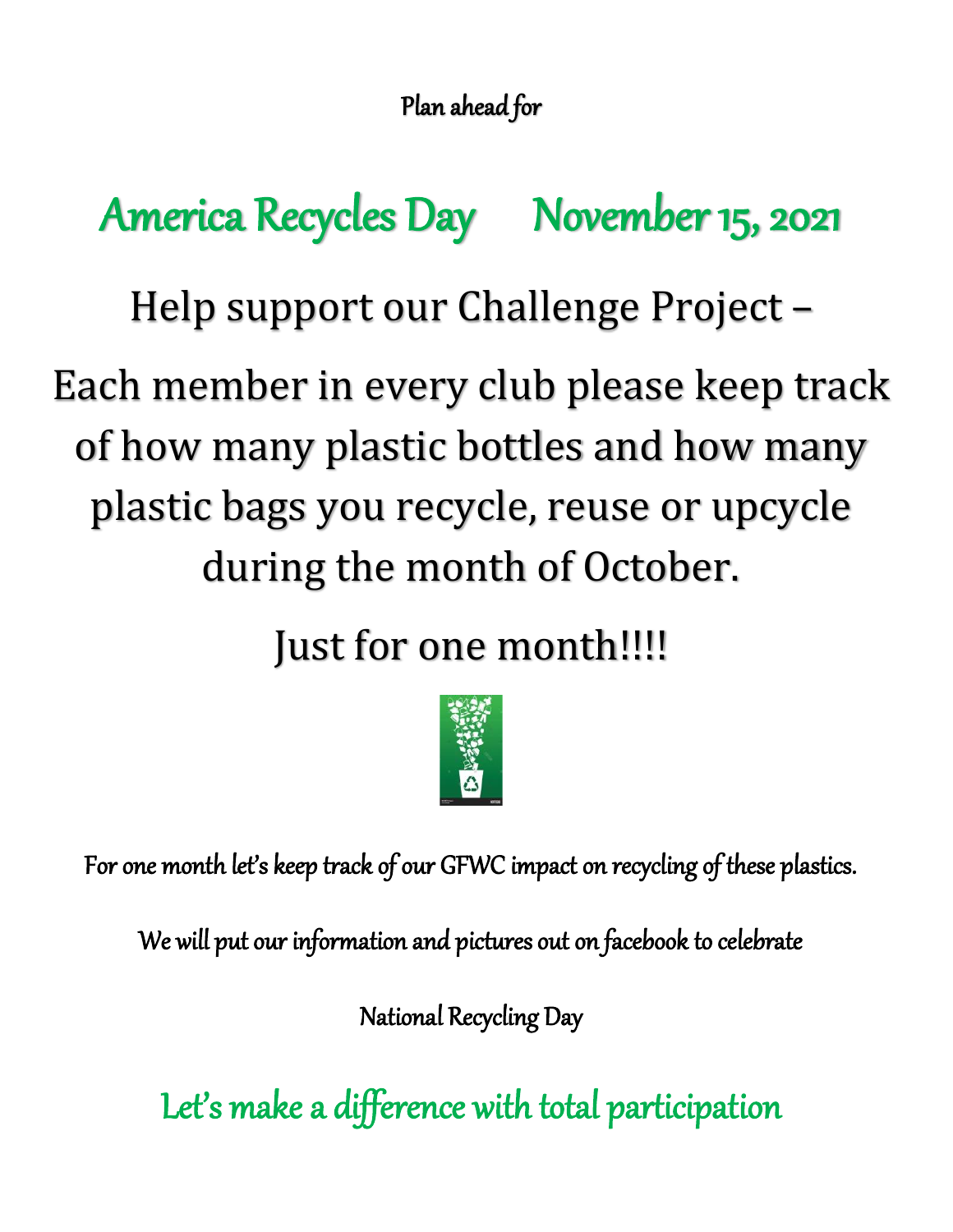Plan ahead for

# America Recycles Day November 15, 2021

Help support our Challenge Project –

Each member in every club please keep track of how many plastic bottles and how many plastic bags you recycle, reuse or upcycle during the month of October.

Just for one month!!!!



For one month let's keep track of our GFWC impact on recycling of these plastics.

We will put our information and pictures out on facebook to celebrate

National Recycling Day

Let's make a difference with total participation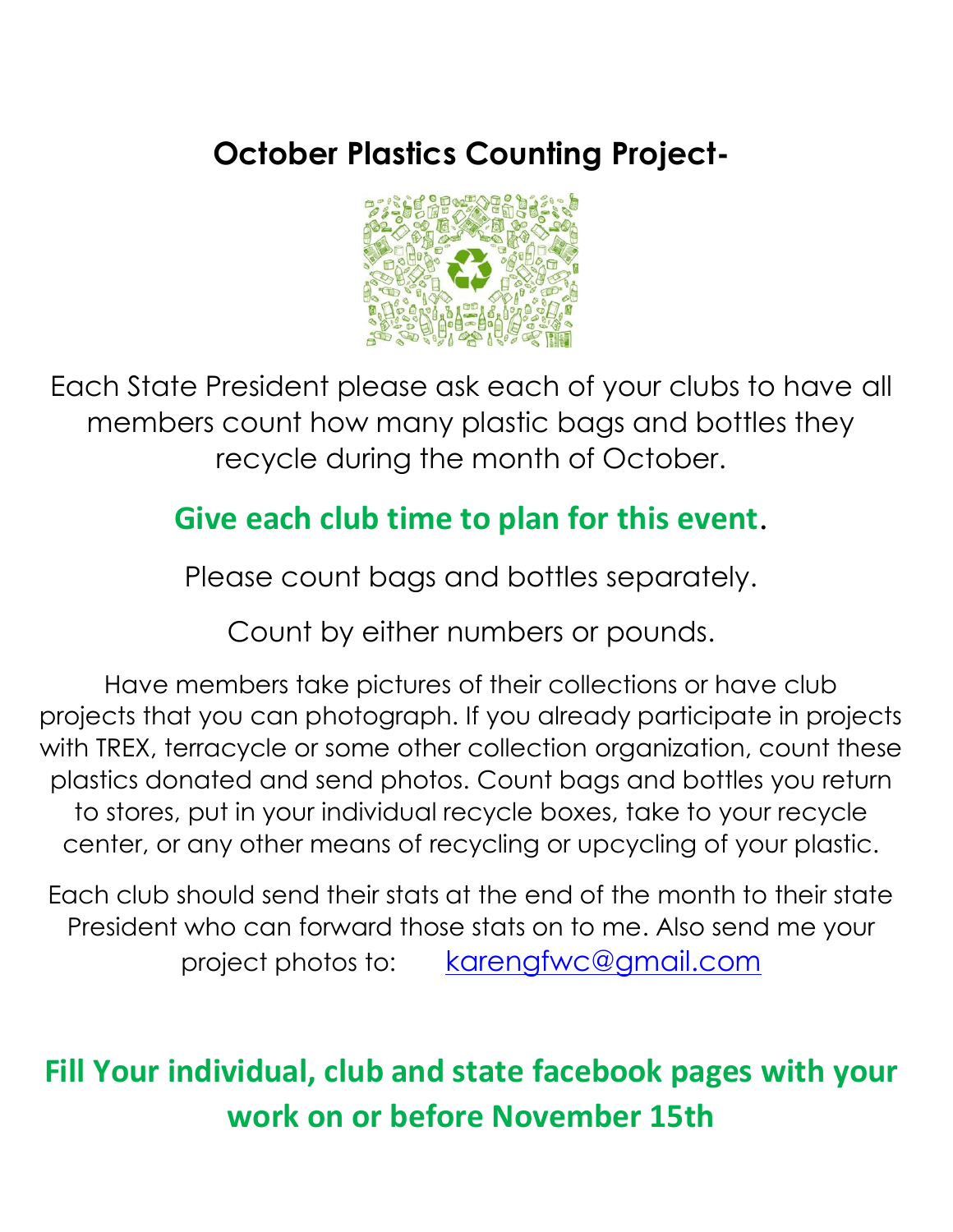### **October Plastics Counting Project-**



Each State President please ask each of your clubs to have all members count how many plastic bags and bottles they recycle during the month of October.

### **Give each club time to plan for this event**.

Please count bags and bottles separately.

Count by either numbers or pounds.

Have members take pictures of their collections or have club projects that you can photograph. If you already participate in projects with TREX, terracycle or some other collection organization, count these plastics donated and send photos. Count bags and bottles you return to stores, put in your individual recycle boxes, take to your recycle center, or any other means of recycling or upcycling of your plastic.

Each club should send their stats at the end of the month to their state President who can forward those stats on to me. Also send me your project photos to: [karengfwc@gmail.com](mailto:karengfwc@gmail.com)

## **Fill Your individual, club and state facebook pages with your work on or before November 15th**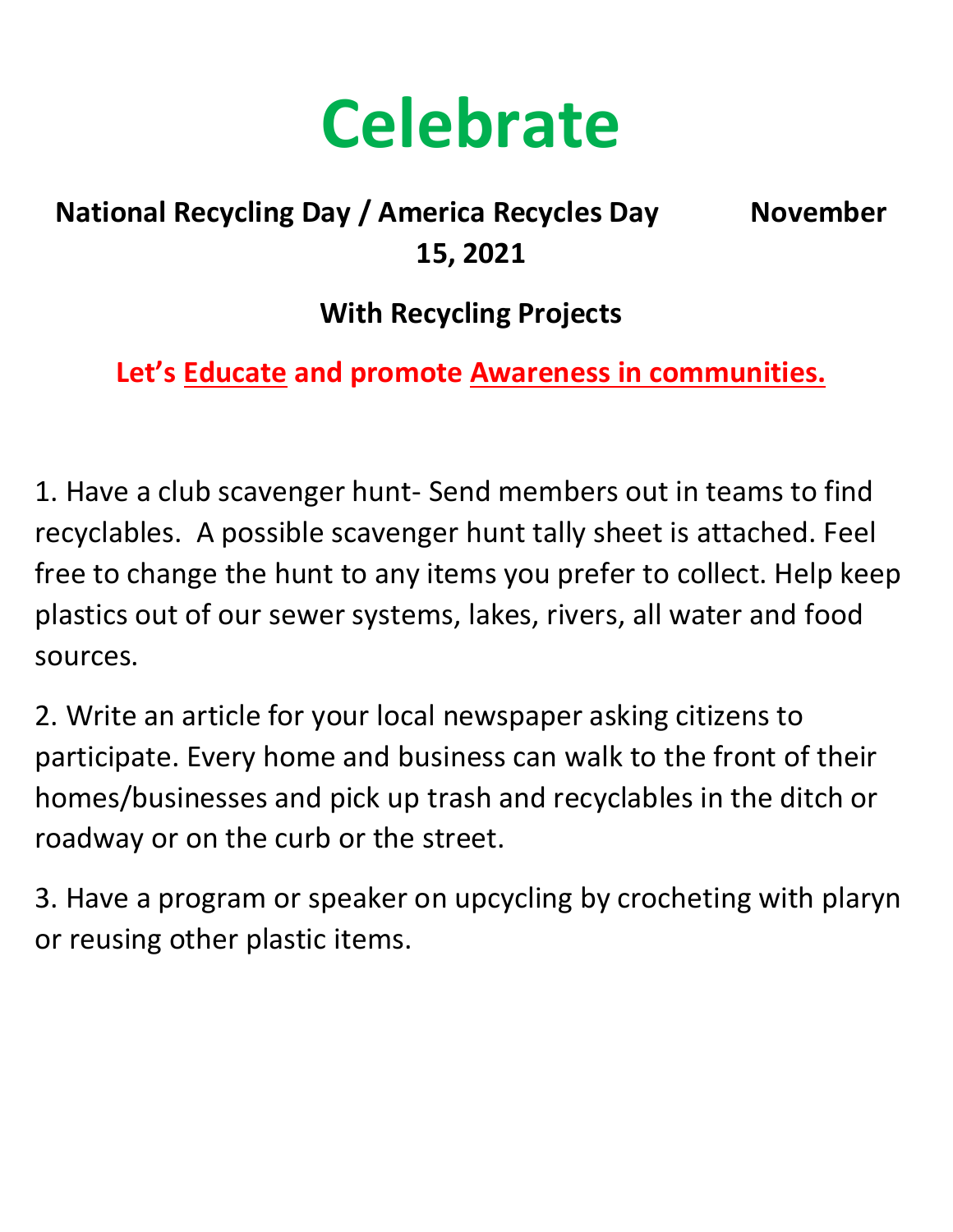

### **National Recycling Day / America Recycles Day November 15, 2021**

#### **With Recycling Projects**

**Let's Educate and promote Awareness in communities.**

1. Have a club scavenger hunt- Send members out in teams to find recyclables. A possible scavenger hunt tally sheet is attached. Feel free to change the hunt to any items you prefer to collect. Help keep plastics out of our sewer systems, lakes, rivers, all water and food sources.

2. Write an article for your local newspaper asking citizens to participate. Every home and business can walk to the front of their homes/businesses and pick up trash and recyclables in the ditch or roadway or on the curb or the street.

3. Have a program or speaker on upcycling by crocheting with plaryn or reusing other plastic items.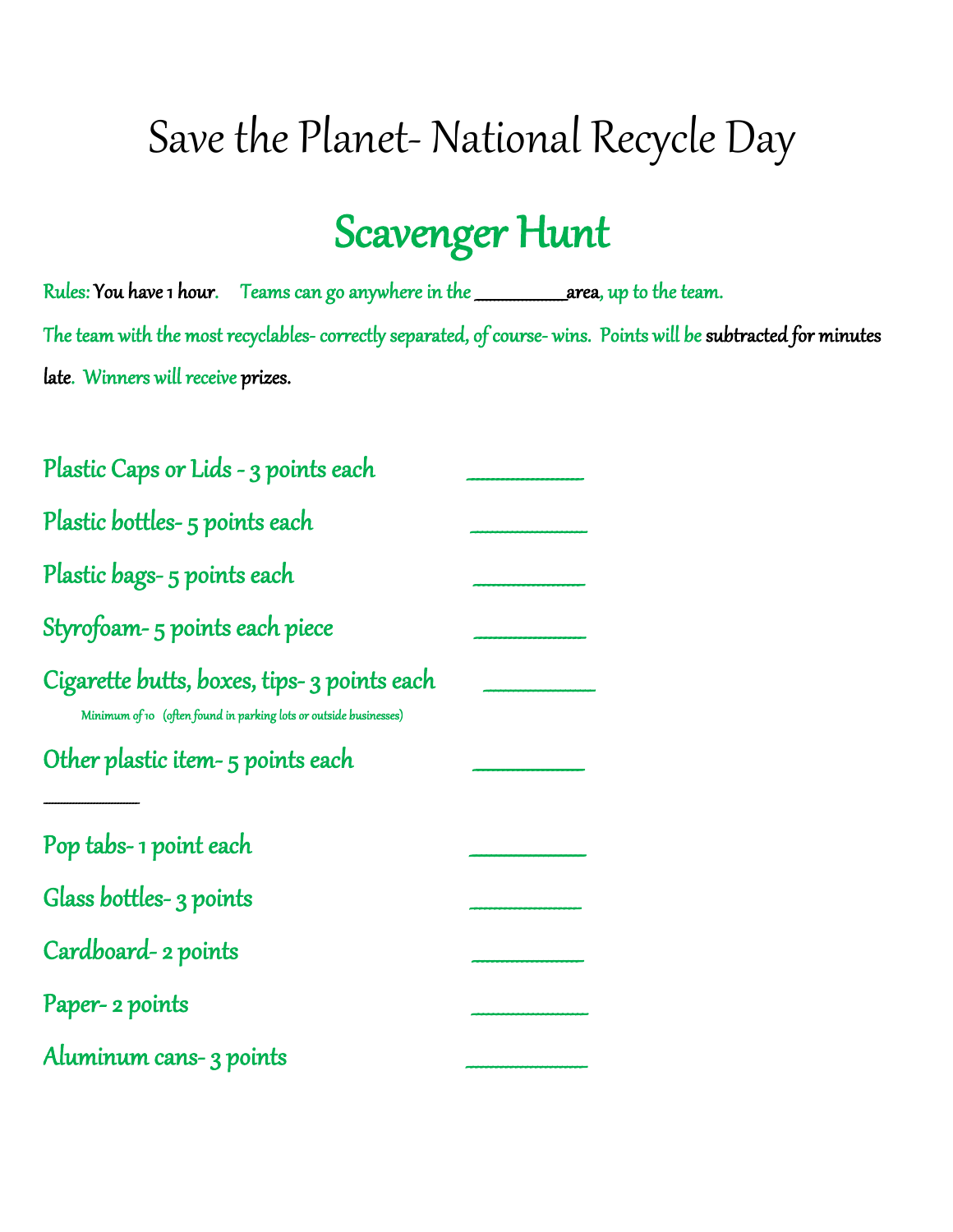## Save the Planet- National Recycle Day

## Scavenger Hunt

Rules: You have 1 hour. Teams can go anywhere in the \_ area, up to the team. The team with the most recyclables- correctly separated, of course- wins. Points will be subtracted for minutes late. Winners will receive prizes.

| Plastic Caps or Lids - 3 points each                                                                             |  |
|------------------------------------------------------------------------------------------------------------------|--|
| Plastic bottles- 5 points each                                                                                   |  |
| Plastic bags-5 points each                                                                                       |  |
| Styrofoam-5 points each piece                                                                                    |  |
| Cigarette butts, boxes, tips- 3 points each<br>Minimum of 10 (often found in parking lots or outside businesses) |  |
| Other plastic item-5 points each                                                                                 |  |
| Pop tabs-1 point each                                                                                            |  |
| Glass bottles-3 points                                                                                           |  |
| Cardboard-2 points                                                                                               |  |
| Paper- 2 points                                                                                                  |  |
| Aluminum cans- 3 points                                                                                          |  |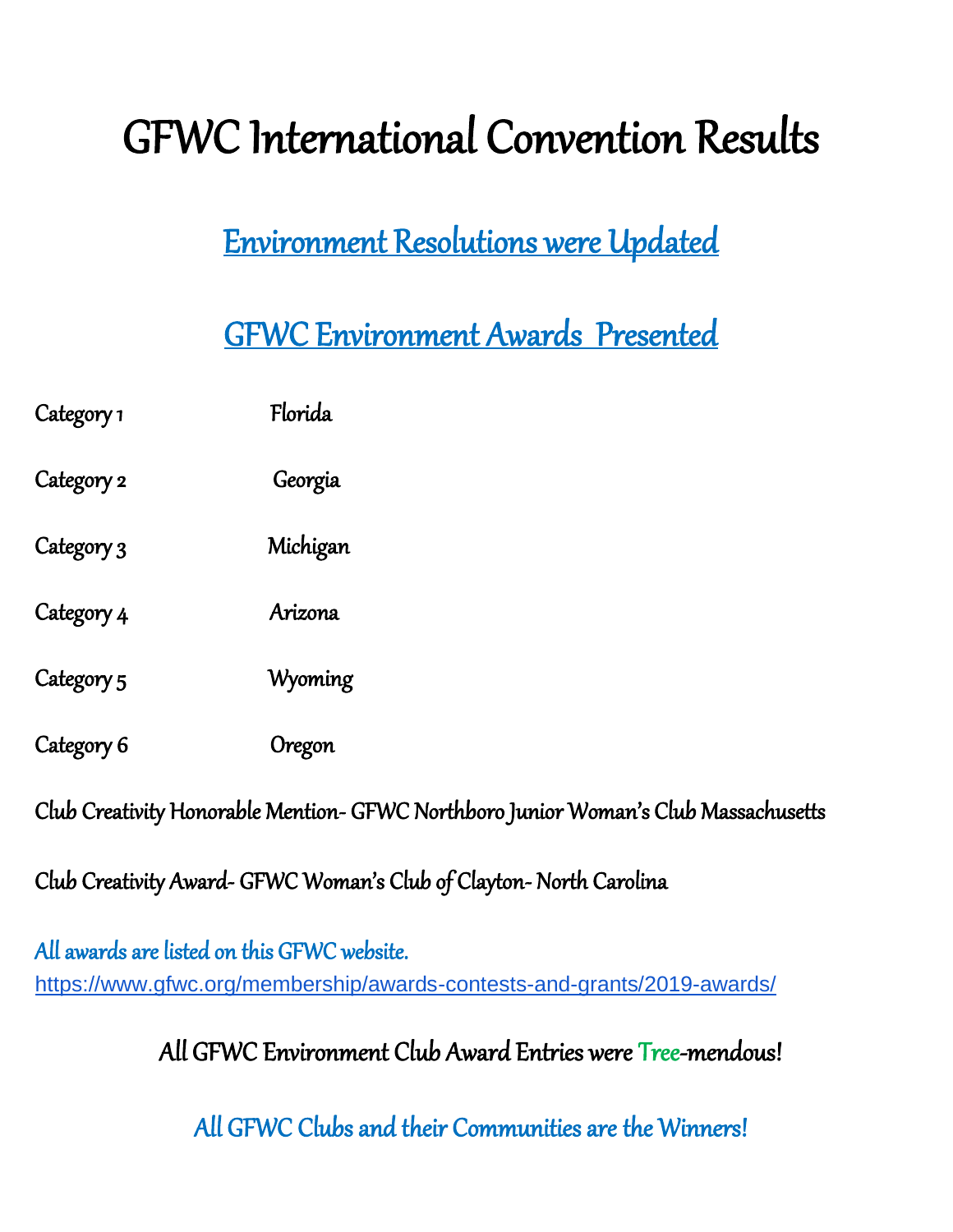# GFWC International Convention Results

## Environment Resolutions were Updated

## GFWC Environment Awards Presented

| Category 1 | Florida  |
|------------|----------|
| Category 2 | Georgia  |
| Category 3 | Michigan |
| Category 4 | Arizona  |
| Category 5 | Wyoming  |
| Category 6 | Oregon   |

Club Creativity Honorable Mention- GFWC Northboro Junior Woman's Club Massachusetts

Club Creativity Award- GFWC Woman's Club of Clayton- North Carolina

All awards are listed on this GFWC website. <https://www.gfwc.org/membership/awards-contests-and-grants/2019-awards/>

All GFWC Environment Club Award Entries were Tree-mendous!

All GFWC Clubs and their Communities are the Winners!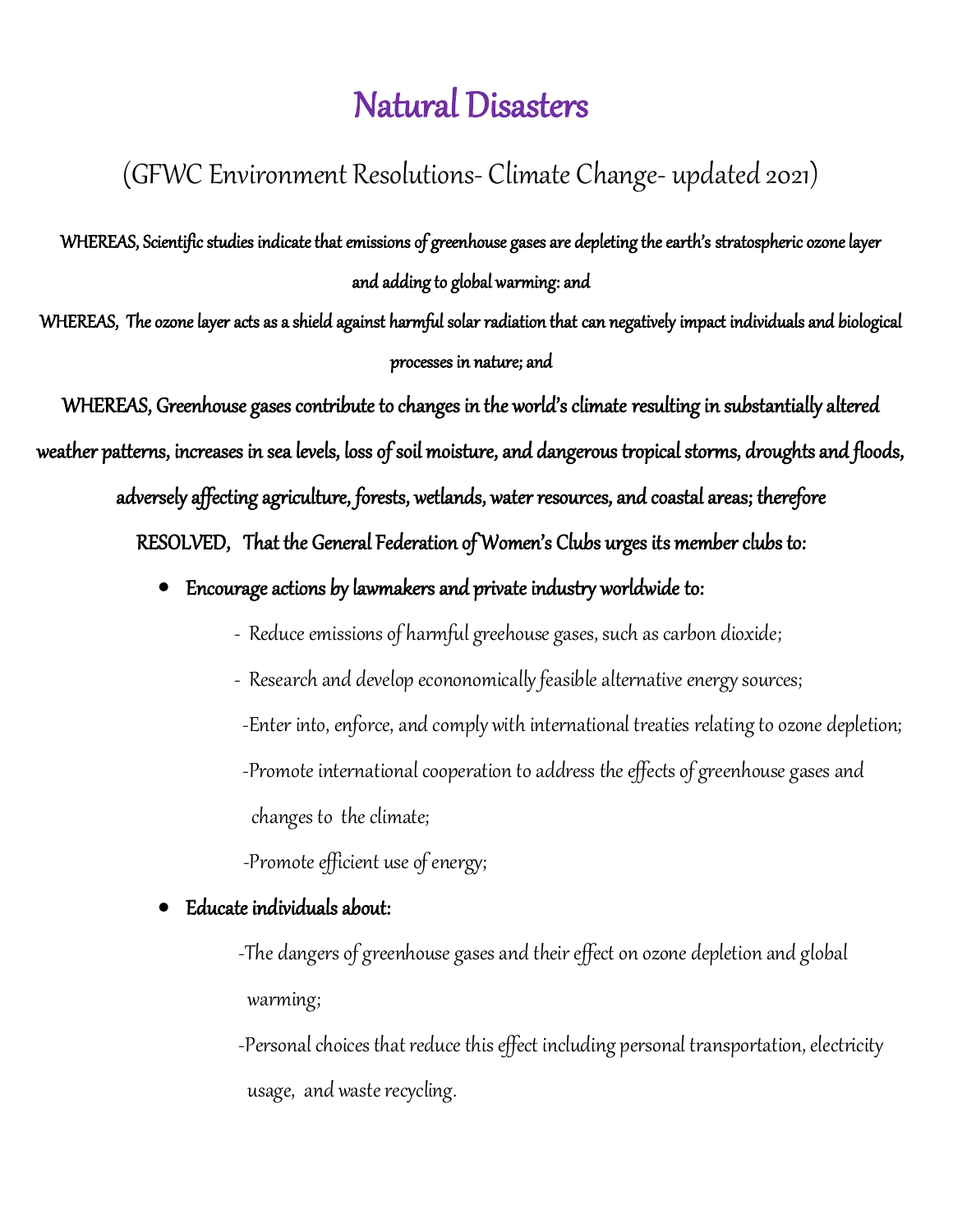## Natural Disasters

#### (GFWC Environment Resolutions- Climate Change- updated 2021)

WHEREAS, Scientific studies indicate that emissions of greenhouse gases are depleting the earth's stratospheric ozone layer and adding to global warming: and

WHEREAS, The ozone layer acts as a shield against harmful solar radiation that can negatively impact individuals and biological processes in nature; and

WHEREAS, Greenhouse gases contribute to changes in the world's climate resulting in substantially altered

weather patterns, increases in sea levels, loss of soil moisture, and dangerous tropical storms, droughts and floods,

adversely affecting agriculture, forests, wetlands, water resources, and coastal areas; therefore

RESOLVED, That the General Federation of Women's Clubs urges its member clubs to:

- Encourage actions by lawmakers and private industry worldwide to:
	- Reduce emissions of harmful greehouse gases, such as carbon dioxide;
	- Research and develop econonomically feasible alternative energy sources;
		- -Enter into, enforce, and comply with international treaties relating to ozone depletion;
	- -Promote international cooperation to address the effects of greenhouse gases and

changes to the climate;

-Promote efficient use of energy;

#### • Educate individuals about:

 -The dangers of greenhouse gases and their effect on ozone depletion and global warming;

 -Personal choices that reduce this effect including personal transportation, electricity usage, and waste recycling.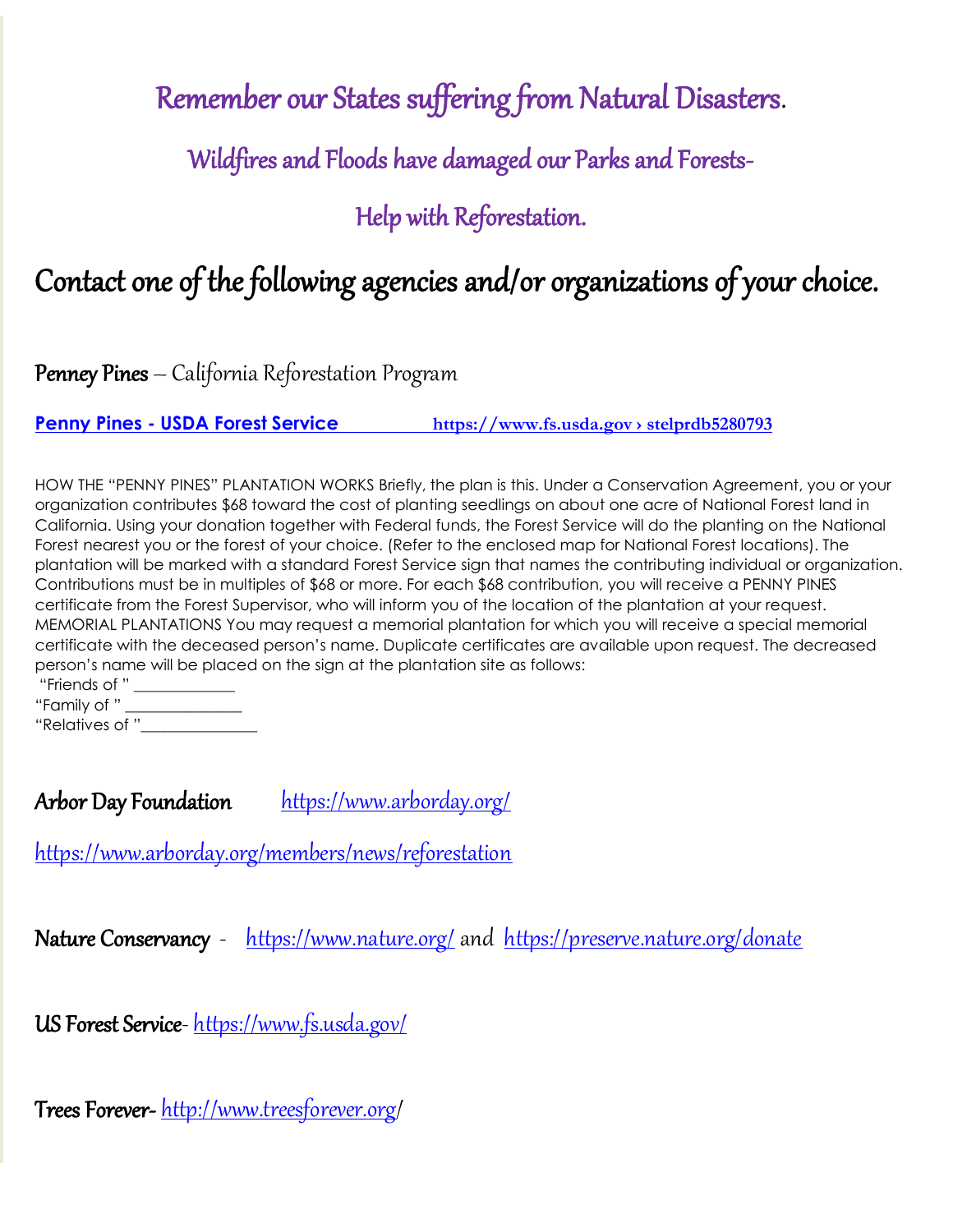### Remember our States suffering from Natural Disasters.

Wildfires and Floods have damaged our Parks and Forests-

#### Help with Reforestation.

### Contact one of the following agencies and/or organizations of your choice.

Penney Pines – California Reforestation Progra[m](/Users/karen/Downloads/%0dPenny%20Pines%20-%20USDA%20Forest%20Service%20%20%20%20%20%20%20%20%20%20%20%20%20%20%20%20%20%20https:/www.fs.usda.gov ›%20stelprdb5280793%0d)

**Penny Pines - USDA Forest Service [https://www.fs.usda.gov](/Users/karen/Downloads/%0dPenny%20Pines%20-%20USDA%20Forest%20Service%20%20%20%20%20%20%20%20%20%20%20%20%20%20%20%20%20%20https:/www.fs.usda.gov ›%20stelprdb5280793%0d) › stelprdb5280793**

HOW THE "PENNY PINES" PLANTATION WORKS Briefly, the plan is this. Under a Conservation Agreement, you or your organization contributes \$68 toward the cost of planting seedlings on about one acre of National Forest land in California. Using your donation together with Federal funds, the Forest Service will do the planting on the National Forest nearest you or the forest of your choice. (Refer to the enclosed map for National Forest locations). The plantation will be marked with a standard Forest Service sign that names the contributing individual or organization. Contributions must be in multiples of \$68 or more. For each \$68 contribution, you will receive a PENNY PINES certificate from the Forest Supervisor, who will inform you of the location of the plantation at your request. MEMORIAL PLANTATIONS You may request a memorial plantation for which you will receive a special memorial certificate with the deceased person's name. Duplicate certificates are available upon request. The decreased person's name will be placed on the sign at the plantation site as follows:

| "Friends of "   |  |
|-----------------|--|
| "Family of "    |  |
| "Relatives of " |  |

Arbor Day Foundation <https://www.arborday.org/>

<https://www.arborday.org/members/news/reforestation>

Nature Conservancy - <https://www.nature.org/> and <https://preserve.nature.org/donate>

US Forest Service- <https://www.fs.usda.gov/>

Trees Forever-<http://www.treesforever.org/>